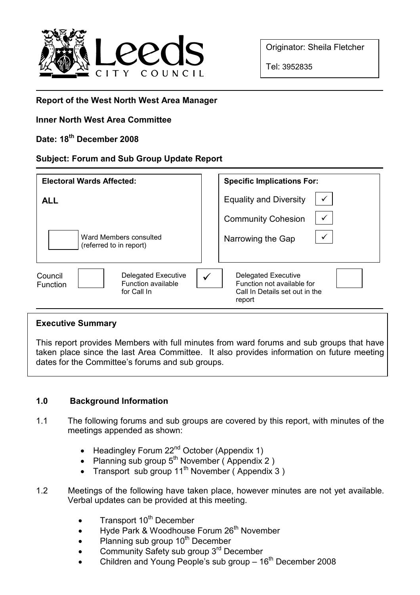

Originator: Sheila Fletcher

Tel: 3952835

## Report of the West North West Area Manager

## Inner North West Area Committee

# Date: 18<sup>th</sup> December 2008

### Subject: Forum and Sub Group Update Report

| <b>Electoral Wards Affected:</b>                                                       | <b>Specific Implications For:</b>                                                                         |
|----------------------------------------------------------------------------------------|-----------------------------------------------------------------------------------------------------------|
| <b>ALL</b>                                                                             | <b>Equality and Diversity</b>                                                                             |
|                                                                                        | <b>Community Cohesion</b>                                                                                 |
| Ward Members consulted<br>(referred to in report)                                      | Narrowing the Gap                                                                                         |
| <b>Delegated Executive</b><br>Council<br>Function available<br>Function<br>for Call In | <b>Delegated Executive</b><br>✓<br>Function not available for<br>Call In Details set out in the<br>report |

#### Executive Summary

This report provides Members with full minutes from ward forums and sub groups that have taken place since the last Area Committee. It also provides information on future meeting dates for the Committee's forums and sub groups.

## 1.0 Background Information

- 1.1 The following forums and sub groups are covered by this report, with minutes of the meetings appended as shown:
	- Headingley Forum 22<sup>nd</sup> October (Appendix 1)
	- Planning sub group  $5^{th}$  November (Appendix 2)
	- Transport sub group 11<sup>th</sup> November (Appendix 3)
- 1.2 Meetings of the following have taken place, however minutes are not yet available. Verbal updates can be provided at this meeting.
	- Transport  $10^{th}$  December
	- Hyde Park & Woodhouse Forum 26<sup>th</sup> November
	- Planning sub group 10<sup>th</sup> December
	- Community Safety sub group 3<sup>rd</sup> December
	- Children and Young People's sub group  $-16<sup>th</sup>$  December 2008